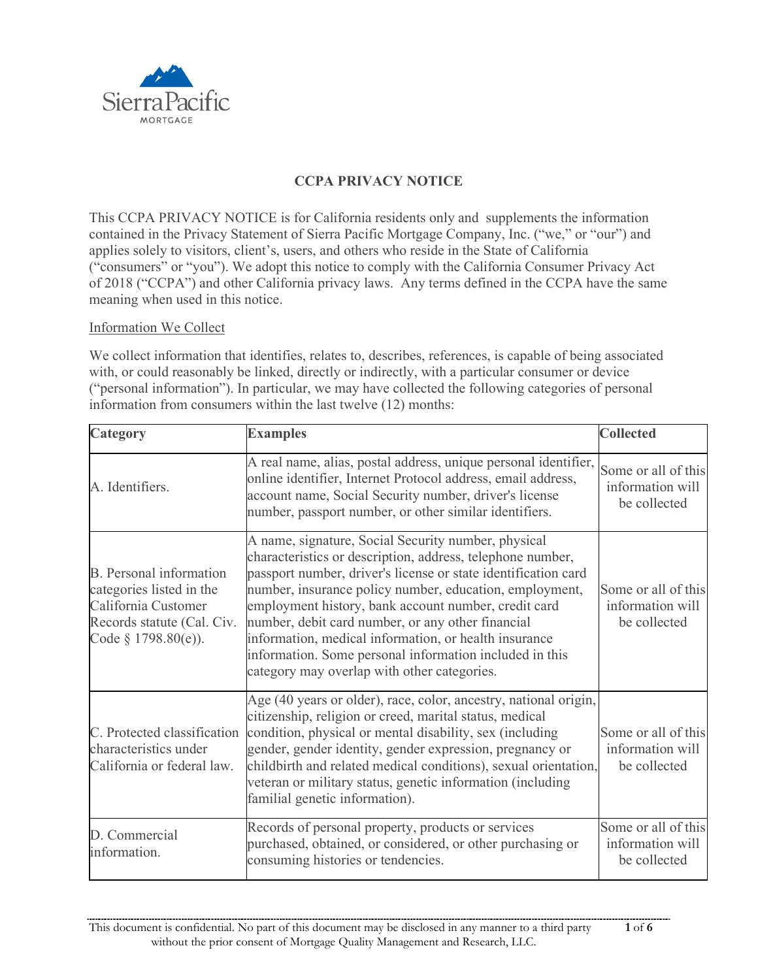

# **CCPA PRIVACY NOTICE**

This CCPA PRIVACY NOTICE is for California residents only and supplements the information contained in the Privacy Statement of Sierra Pacific Mortgage Company, Inc. ("we," or "our") and applies solely to visitors, client's, users, and others who reside in the State of California ("consumers" or "you"). We adopt this notice to comply with the California Consumer Privacy Act of 2018 ("CCPA") and other California privacy laws. Any terms defined in the CCPA have the same meaning when used in this notice.

## Information We Collect

We collect information that identifies, relates to, describes, references, is capable of being associated with, or could reasonably be linked, directly or indirectly, with a particular consumer or device ("personal information"). In particular, we may have collected the following categories of personal information from consumers within the last twelve (12) months:

| Category                                                                                                                               | <b>Examples</b>                                                                                                                                                                                                                                                                                                                                                                                                                                                                                                                | <b>Collected</b>                                        |
|----------------------------------------------------------------------------------------------------------------------------------------|--------------------------------------------------------------------------------------------------------------------------------------------------------------------------------------------------------------------------------------------------------------------------------------------------------------------------------------------------------------------------------------------------------------------------------------------------------------------------------------------------------------------------------|---------------------------------------------------------|
| A. Identifiers.                                                                                                                        | A real name, alias, postal address, unique personal identifier,<br>online identifier, Internet Protocol address, email address,<br>account name, Social Security number, driver's license<br>number, passport number, or other similar identifiers.                                                                                                                                                                                                                                                                            | Some or all of this<br>information will<br>be collected |
| <b>B.</b> Personal information<br>categories listed in the<br>California Customer<br>Records statute (Cal. Civ.<br>Code § 1798.80(e)). | A name, signature, Social Security number, physical<br>characteristics or description, address, telephone number,<br>passport number, driver's license or state identification card<br>number, insurance policy number, education, employment,<br>employment history, bank account number, credit card<br>number, debit card number, or any other financial<br>information, medical information, or health insurance<br>information. Some personal information included in this<br>category may overlap with other categories. | Some or all of this<br>information will<br>be collected |
| C. Protected classification<br>characteristics under<br>California or federal law.                                                     | Age (40 years or older), race, color, ancestry, national origin,<br>citizenship, religion or creed, marital status, medical<br>condition, physical or mental disability, sex (including<br>gender, gender identity, gender expression, pregnancy or<br>childbirth and related medical conditions), sexual orientation,<br>veteran or military status, genetic information (including<br>familial genetic information).                                                                                                         | Some or all of this<br>information will<br>be collected |
| D. Commercial<br>information.                                                                                                          | Records of personal property, products or services<br>purchased, obtained, or considered, or other purchasing or<br>consuming histories or tendencies.                                                                                                                                                                                                                                                                                                                                                                         | Some or all of this<br>information will<br>be collected |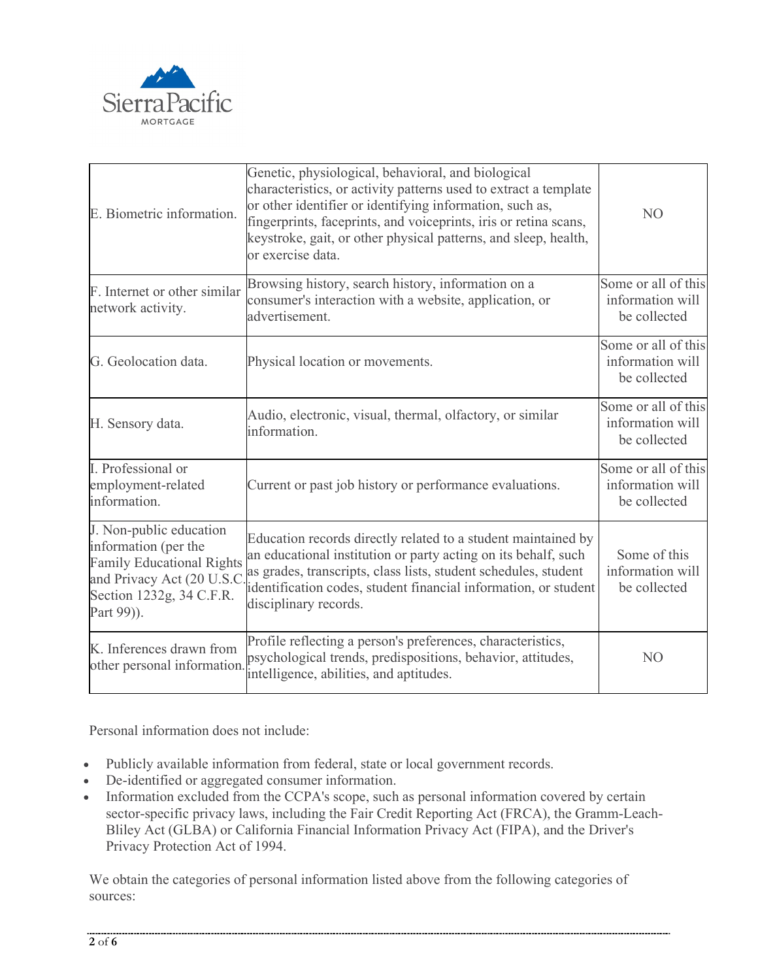

| E. Biometric information.                                                                                                                                   | Genetic, physiological, behavioral, and biological<br>characteristics, or activity patterns used to extract a template<br>or other identifier or identifying information, such as,<br>fingerprints, faceprints, and voiceprints, iris or retina scans,<br>keystroke, gait, or other physical patterns, and sleep, health,<br>or exercise data. | N <sub>O</sub>                                          |
|-------------------------------------------------------------------------------------------------------------------------------------------------------------|------------------------------------------------------------------------------------------------------------------------------------------------------------------------------------------------------------------------------------------------------------------------------------------------------------------------------------------------|---------------------------------------------------------|
| F. Internet or other similar<br>network activity.                                                                                                           | Browsing history, search history, information on a<br>consumer's interaction with a website, application, or<br>advertisement.                                                                                                                                                                                                                 | Some or all of this<br>information will<br>be collected |
| G. Geolocation data.                                                                                                                                        | Physical location or movements.                                                                                                                                                                                                                                                                                                                | Some or all of this<br>information will<br>be collected |
| H. Sensory data.                                                                                                                                            | Audio, electronic, visual, thermal, olfactory, or similar<br>information.                                                                                                                                                                                                                                                                      | Some or all of this<br>information will<br>be collected |
| I. Professional or<br>employment-related<br>information.                                                                                                    | Current or past job history or performance evaluations.                                                                                                                                                                                                                                                                                        | Some or all of this<br>information will<br>be collected |
| J. Non-public education<br>information (per the<br><b>Family Educational Rights</b><br>and Privacy Act (20 U.S.C.<br>Section 1232g, 34 C.F.R.<br>Part 99)). | Education records directly related to a student maintained by<br>an educational institution or party acting on its behalf, such<br>as grades, transcripts, class lists, student schedules, student<br>identification codes, student financial information, or student<br>disciplinary records.                                                 | Some of this<br>information will<br>be collected        |
| K. Inferences drawn from<br>other personal information.                                                                                                     | Profile reflecting a person's preferences, characteristics,<br>psychological trends, predispositions, behavior, attitudes,<br>intelligence, abilities, and aptitudes.                                                                                                                                                                          | N <sub>O</sub>                                          |

Personal information does not include:

- Publicly available information from federal, state or local government records.
- De-identified or aggregated consumer information.
- Information excluded from the CCPA's scope, such as personal information covered by certain sector-specific privacy laws, including the Fair Credit Reporting Act (FRCA), the Gramm-Leach-Bliley Act (GLBA) or California Financial Information Privacy Act (FIPA), and the Driver's Privacy Protection Act of 1994.

We obtain the categories of personal information listed above from the following categories of sources: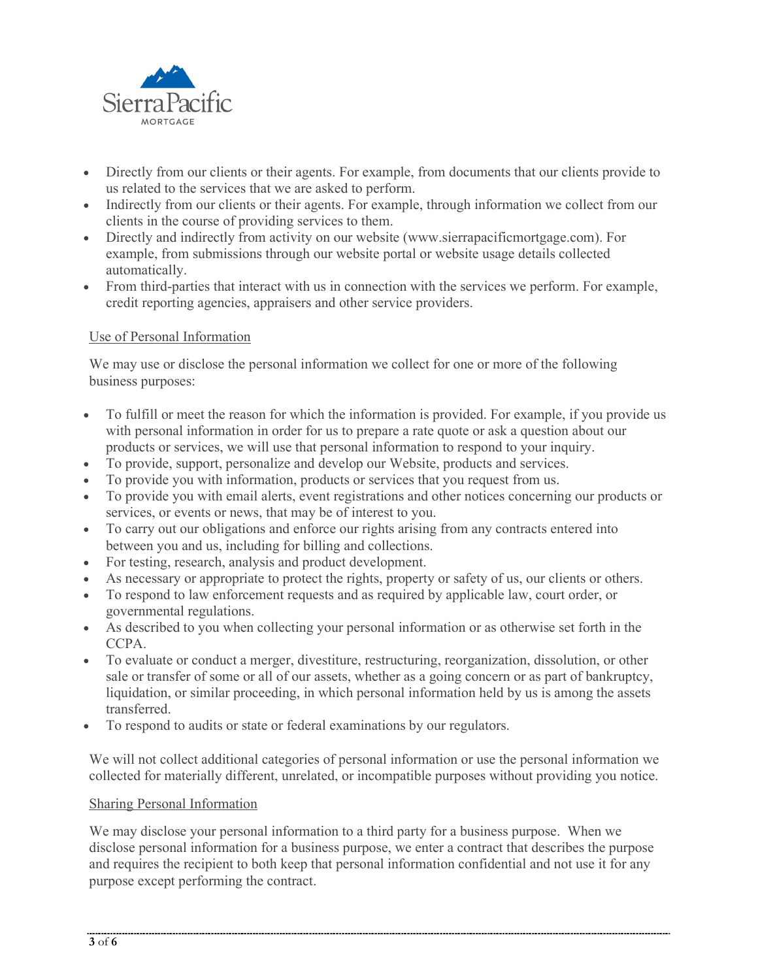

- Directly from our clients or their agents. For example, from documents that our clients provide to us related to the services that we are asked to perform.
- Indirectly from our clients or their agents. For example, through information we collect from our clients in the course of providing services to them.
- Directly and indirectly from activity on our website (www.sierrapacificmortgage.com). For example, from submissions through our website portal or website usage details collected automatically.
- From third-parties that interact with us in connection with the services we perform. For example, credit reporting agencies, appraisers and other service providers.

## Use of Personal Information

We may use or disclose the personal information we collect for one or more of the following business purposes:

- To fulfill or meet the reason for which the information is provided. For example, if you provide us with personal information in order for us to prepare a rate quote or ask a question about our products or services, we will use that personal information to respond to your inquiry.
- To provide, support, personalize and develop our Website, products and services.
- To provide you with information, products or services that you request from us.
- To provide you with email alerts, event registrations and other notices concerning our products or services, or events or news, that may be of interest to you.
- To carry out our obligations and enforce our rights arising from any contracts entered into between you and us, including for billing and collections.
- For testing, research, analysis and product development.
- As necessary or appropriate to protect the rights, property or safety of us, our clients or others.
- To respond to law enforcement requests and as required by applicable law, court order, or governmental regulations.
- As described to you when collecting your personal information or as otherwise set forth in the CCPA.
- To evaluate or conduct a merger, divestiture, restructuring, reorganization, dissolution, or other sale or transfer of some or all of our assets, whether as a going concern or as part of bankruptcy, liquidation, or similar proceeding, in which personal information held by us is among the assets transferred.
- To respond to audits or state or federal examinations by our regulators.

We will not collect additional categories of personal information or use the personal information we collected for materially different, unrelated, or incompatible purposes without providing you notice.

## Sharing Personal Information

We may disclose your personal information to a third party for a business purpose. When we disclose personal information for a business purpose, we enter a contract that describes the purpose and requires the recipient to both keep that personal information confidential and not use it for any purpose except performing the contract.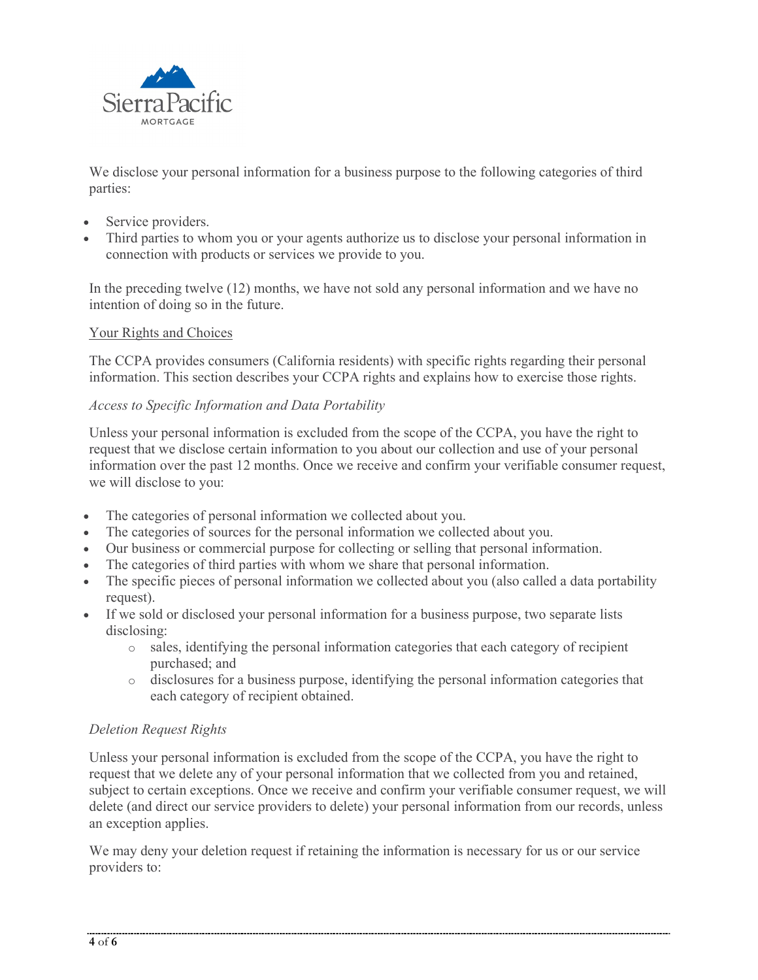

We disclose your personal information for a business purpose to the following categories of third parties:

- Service providers.
- Third parties to whom you or your agents authorize us to disclose your personal information in connection with products or services we provide to you.

In the preceding twelve (12) months, we have not sold any personal information and we have no intention of doing so in the future.

## Your Rights and Choices

The CCPA provides consumers (California residents) with specific rights regarding their personal information. This section describes your CCPA rights and explains how to exercise those rights.

## *Access to Specific Information and Data Portability*

Unless your personal information is excluded from the scope of the CCPA, you have the right to request that we disclose certain information to you about our collection and use of your personal information over the past 12 months. Once we receive and confirm your verifiable consumer request, we will disclose to you:

- The categories of personal information we collected about you.
- The categories of sources for the personal information we collected about you.
- Our business or commercial purpose for collecting or selling that personal information.
- The categories of third parties with whom we share that personal information.
- The specific pieces of personal information we collected about you (also called a data portability request).
- If we sold or disclosed your personal information for a business purpose, two separate lists disclosing:
	- o sales, identifying the personal information categories that each category of recipient purchased; and
	- o disclosures for a business purpose, identifying the personal information categories that each category of recipient obtained.

# *Deletion Request Rights*

Unless your personal information is excluded from the scope of the CCPA, you have the right to request that we delete any of your personal information that we collected from you and retained, subject to certain exceptions. Once we receive and confirm your verifiable consumer request, we will delete (and direct our service providers to delete) your personal information from our records, unless an exception applies.

We may deny your deletion request if retaining the information is necessary for us or our service providers to: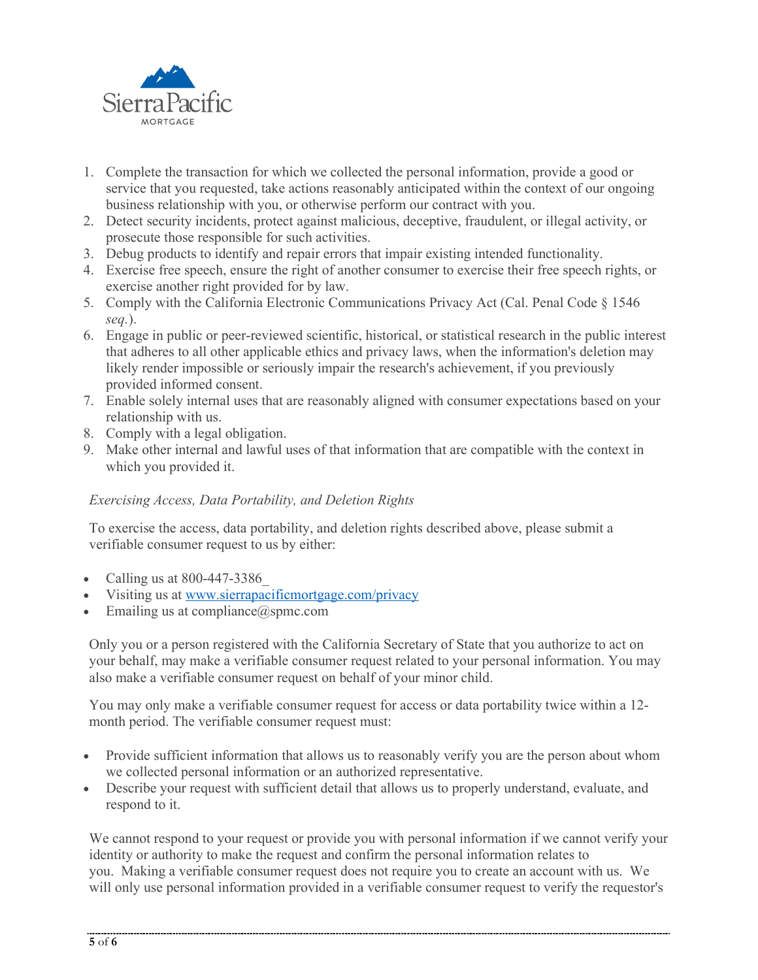

- 1. Complete the transaction for which we collected the personal information, provide a good or service that you requested, take actions reasonably anticipated within the context of our ongoing business relationship with you, or otherwise perform our contract with you.
- 2. Detect security incidents, protect against malicious, deceptive, fraudulent, or illegal activity, or prosecute those responsible for such activities.
- 3. Debug products to identify and repair errors that impair existing intended functionality.
- 4. Exercise free speech, ensure the right of another consumer to exercise their free speech rights, or exercise another right provided for by law.
- 5. Comply with the California Electronic Communications Privacy Act (Cal. Penal Code § 1546 *seq.*).
- 6. Engage in public or peer-reviewed scientific, historical, or statistical research in the public interest that adheres to all other applicable ethics and privacy laws, when the information's deletion may likely render impossible or seriously impair the research's achievement, if you previously provided informed consent.
- 7. Enable solely internal uses that are reasonably aligned with consumer expectations based on your relationship with us.
- 8. Comply with a legal obligation.
- 9. Make other internal and lawful uses of that information that are compatible with the context in which you provided it.

# *Exercising Access, Data Portability, and Deletion Rights*

To exercise the access, data portability, and deletion rights described above, please submit a verifiable consumer request to us by either:

- Calling us at 800-447-3386\_
- Visiting us at [www.sierrapacificmortgage.com/privacy](http://www.sierrapacificmortgage.com/privacy)
- Emailing us at compliance $@$ spmc.com

Only you or a person registered with the California Secretary of State that you authorize to act on your behalf, may make a verifiable consumer request related to your personal information. You may also make a verifiable consumer request on behalf of your minor child.

You may only make a verifiable consumer request for access or data portability twice within a 12 month period. The verifiable consumer request must:

- Provide sufficient information that allows us to reasonably verify you are the person about whom we collected personal information or an authorized representative.
- Describe your request with sufficient detail that allows us to properly understand, evaluate, and respond to it.

We cannot respond to your request or provide you with personal information if we cannot verify your identity or authority to make the request and confirm the personal information relates to you. Making a verifiable consumer request does not require you to create an account with us. We will only use personal information provided in a verifiable consumer request to verify the requestor's